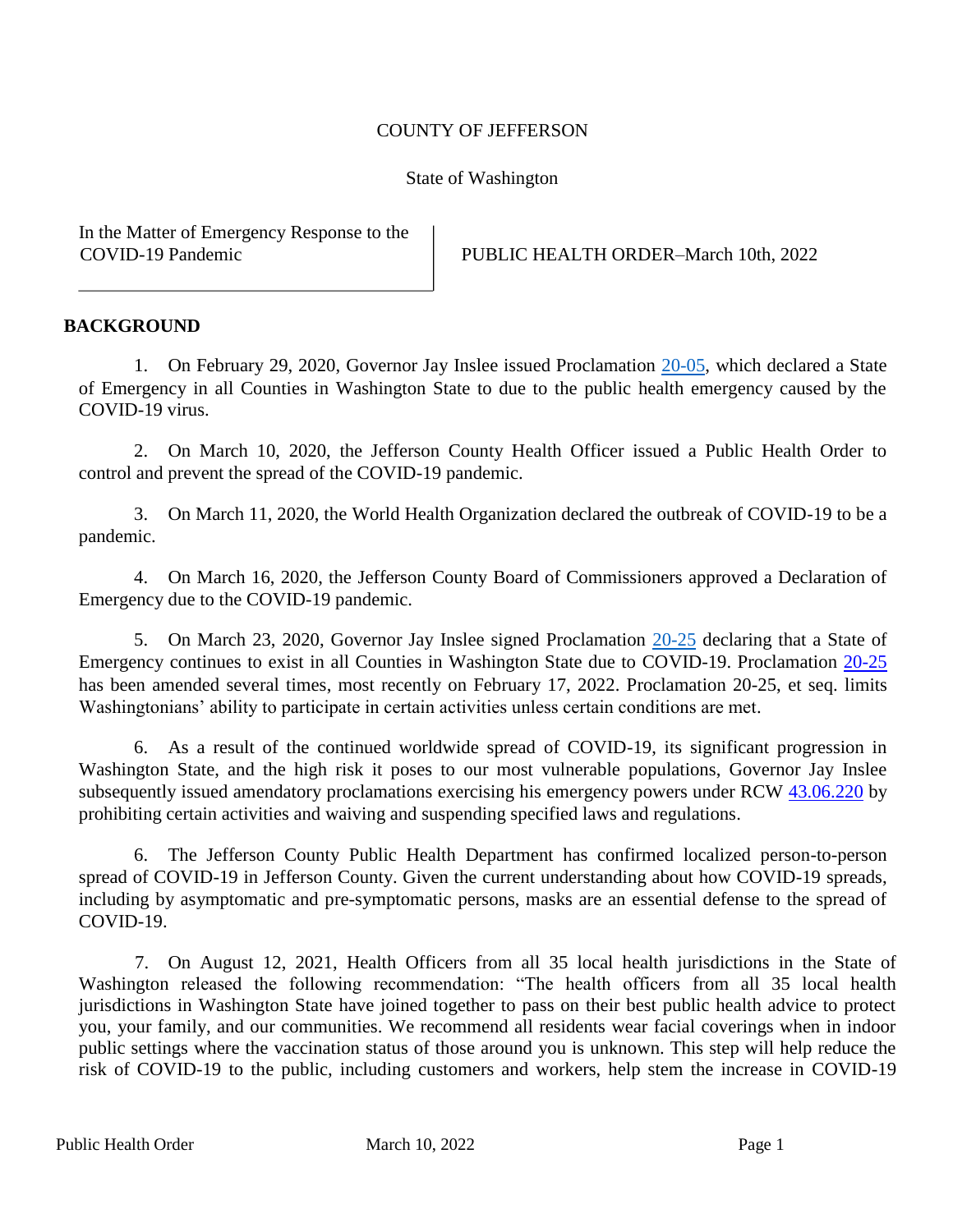## COUNTY OF JEFFERSON

## State of Washington

In the Matter of Emergency Response to the

COVID-19 Pandemic PUBLIC HEALTH ORDER–March 10th, 2022

## **BACKGROUND**

1. On February 29, 2020, Governor Jay Inslee issued Proclamation [20-05,](https://www.governor.wa.gov/sites/default/files/proclamations/20-05%20Coronavirus%20%28final%29.pdf) which declared a State of Emergency in all Counties in Washington State to due to the public health emergency caused by the COVID-19 virus.

2. On March 10, 2020, the Jefferson County Health Officer issued a Public Health Order to control and prevent the spread of the COVID-19 pandemic.

3. On March 11, 2020, the World Health Organization declared the outbreak of COVID-19 to be a pandemic.

4. On March 16, 2020, the Jefferson County Board of Commissioners approved a Declaration of Emergency due to the COVID-19 pandemic.

5. On March 23, 2020, Governor Jay Inslee signed Proclamation [20-25](https://www.governor.wa.gov/sites/default/files/proclamations/20-25%20Coronovirus%20Stay%20Safe-Stay%20Healthy%20%28tmp%29%20%28002%29.pdf) [de](https://www.governor.wa.gov/sites/default/files/proclamations/20-25%20Coronovirus%20Stay%20Safe-Stay%20Healthy%20%28tmp%29%20%28002%29.pdf)claring that a State of Emergency continues to exist in all Counties in Washington State due to COVID-19. Proclamation [20-25](https://www.governor.wa.gov/sites/default/files/proclamations/20-25.15%20-%20COVID-19%20Washington%20Ready.pdf) has been amended several times, most recently on February 17, 2022. Proclamation 20-25, et seq. limits Washingtonians' ability to participate in certain activities unless certain conditions are met.

6. As a result of the continued worldwide spread of COVID-19, its significant progression in Washington State, and the high risk it poses to our most vulnerable populations, Governor Jay Inslee subsequently issued amendatory proclamations exercising his emergency powers under RCW [43.06.220](https://apps.leg.wa.gov/rcw/default.aspx?cite=43.06.220) by prohibiting certain activities and waiving and suspending specified laws and regulations.

6. The Jefferson County Public Health Department has confirmed localized person-to-person spread of COVID-19 in Jefferson County. Given the current understanding about how COVID-19 spreads, including by asymptomatic and pre-symptomatic persons, masks are an essential defense to the spread of COVID-19.

7. On August 12, 2021, Health Officers from all 35 local health jurisdictions in the State of Washington released the following recommendation: "The health officers from all 35 local health jurisdictions in Washington State have joined together to pass on their best public health advice to protect you, your family, and our communities. We recommend all residents wear facial coverings when in indoor public settings where the vaccination status of those around you is unknown. This step will help reduce the risk of COVID-19 to the public, including customers and workers, help stem the increase in COVID-19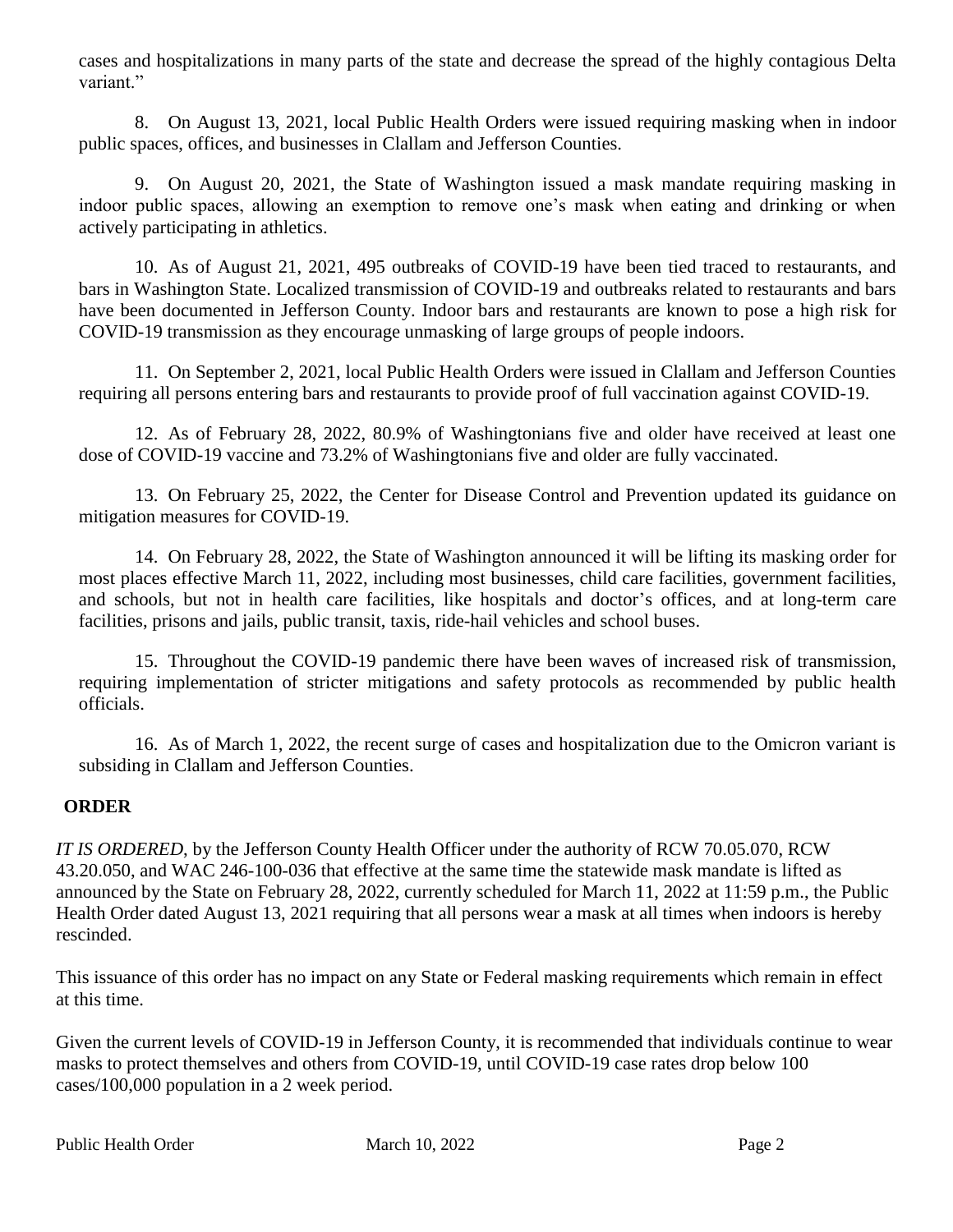cases and hospitalizations in many parts of the state and decrease the spread of the highly contagious Delta variant."

8. On August 13, 2021, local Public Health Orders were issued requiring masking when in indoor public spaces, offices, and businesses in Clallam and Jefferson Counties.

9. On August 20, 2021, the State of Washington issued a mask mandate requiring masking in indoor public spaces, allowing an exemption to remove one's mask when eating and drinking or when actively participating in athletics.

10. As of August 21, 2021, 495 outbreaks of COVID-19 have been tied traced to restaurants, and bars in Washington State. Localized transmission of COVID-19 and outbreaks related to restaurants and bars have been documented in Jefferson County. Indoor bars and restaurants are known to pose a high risk for COVID-19 transmission as they encourage unmasking of large groups of people indoors.

11. On September 2, 2021, local Public Health Orders were issued in Clallam and Jefferson Counties requiring all persons entering bars and restaurants to provide proof of full vaccination against COVID-19.

12. As of February 28, 2022, 80.9% of Washingtonians five and older have received at least one dose of COVID-19 vaccine and 73.2% of Washingtonians five and older are fully vaccinated.

13. On February 25, 2022, the Center for Disease Control and Prevention updated its guidance on mitigation measures for COVID-19.

14. On February 28, 2022, the State of Washington announced it will be lifting its masking order for most places effective March 11, 2022, including most businesses, child care facilities, government facilities, and schools, but not in health care facilities, like hospitals and doctor's offices, and at long-term care facilities, prisons and jails, public transit, taxis, ride-hail vehicles and school buses.

15. Throughout the COVID-19 pandemic there have been waves of increased risk of transmission, requiring implementation of stricter mitigations and safety protocols as recommended by public health officials.

16. As of March 1, 2022, the recent surge of cases and hospitalization due to the Omicron variant is subsiding in Clallam and Jefferson Counties.

## **ORDER**

*IT IS ORDERED*, by the Jefferson County Health Officer under the authority of RCW 70.05.070, RCW 43.20.050, and WAC 246-100-036 that effective at the same time the statewide mask mandate is lifted as announced by the State on February 28, 2022, currently scheduled for March 11, 2022 at 11:59 p.m., the Public Health Order dated August 13, 2021 requiring that all persons wear a mask at all times when indoors is hereby rescinded.

This issuance of this order has no impact on any State or Federal masking requirements which remain in effect at this time.

Given the current levels of COVID-19 in Jefferson County, it is recommended that individuals continue to wear masks to protect themselves and others from COVID-19, until COVID-19 case rates drop below 100 cases/100,000 population in a 2 week period.